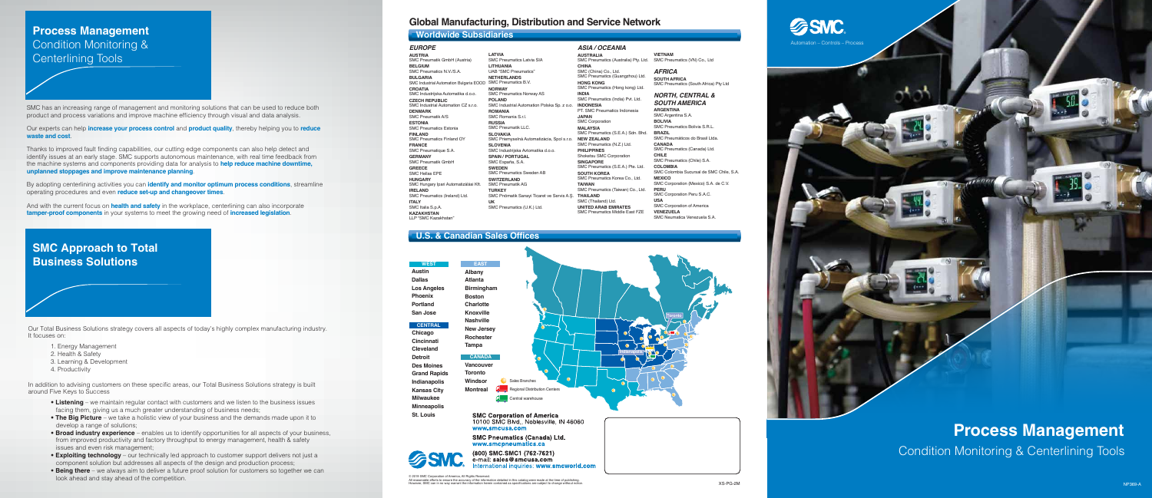# **Process Management**

Condition Monitoring & Centerlining Tools

# **SSMC** Automation – Controls – Process



# **Global Manufacturing, Distribution and Service Network**

**Albany Atlanta Birmingham Boston Charlotte Knoxville Nashville New Jersey Rochester**

© 2019 SMC Corporation of America, All Rights Reserved. All reasonable efforts to ensure the accuracy of the information detailed in this catalog were made at the time of publishing.<br>However, SMC can in no way warrant the information herein contained as specifications are subje

**Austin Dallas Los Angeles Phoenix Portland San Jose WEST**

**Detroit Des Moines Grand Rapids Indianapolis Kansas City Milwaukee Minneapolis**

**Chicago Cincinnati Cleveland CENTRAL**

**St. Louis**



**SMC Corporation of America** 10100 SMC Blvd., Noblesville, IN 46060 www.smcusa.com

**SMC Pneumatics (Canada) Ltd.** www.smcpneumatics.ca

(800) SMC SMC1 (762-7621) e-mail: sales@smcusa.com national inquiries: www.smcworld.com

### **Worldwide Subsidiaries**

# **U.S. & Canadian Sales Offices**

### *EUROPE*

**AUSTRIA** SMC Pneumatik GmbH (Austria) **BELGIUM** SMC Pneumatics N.V./S.A. **BULGARIA** SMC Industrial Automation Bulgaria EOOD SMC Pneumatics B.V. **CROATIA** SMC Industrijska Automatika d.o.o. **CZECH REPUBLIC** SMC Industrial Automation CZ s.r.o. **DENMARK** SMC Pneumatik A/S **ESTONIA** SMC Pneumatics Estonia **FINLAND** SMC Pneumatics Finland OY **FRANCE** SMC Pneumatique S.A. **GERMANY** SMC Pneumatik GmbH **GREECE** SMC Hellas EPE **HUNGARY** SMC Hungary Ipari Automatizálási Kf **IRELAND** SMC Pneumatics (Ireland) Ltd. **ITALY**

SMC Italia S.p.A. **KAZAKHSTAN** LLP "SMC Kazakhstan" **LATVIA** SMC Pneumatics Latvia SIA **LITHUANIA** UAB "SMC Pneumatics" **NETHERLANDS NORWAY** SMC Pneumatics Norway AS **POLAND** SMC Industrial Automation Polska Sp. z o.o. **ROMANIA**  SMC Romania S.r.l. **RUSSIA**  SMC Pneumatik LLC. **SLOVAKIA** SMC Priemyselná Automatizácia, Spol s.r.o. **SLOVENIA** SMC Industrijska Avtomatika d.o.o. **SPAIN / PORTUGAL** SMC España, S.A. **SWEDEN** SMC Pneumatics Sweden AB **SWITZERLAND** SMC Pneumatik AG **TURKEY** SMC Pnömatik Sanayi Ticaret ve Servis A.Ş. **UK** SMC Pneumatics (U.K.) Ltd.

### *ASIA / OCEANIA*

**AUSTRALIA** SMC Pneumatics (Australia) Pty. Ltd. **CHINA** SMC (China) Co., Ltd. SMC Pneumatics (Guangzhou) Ltd. **HONG KONG** SMC Pneumatics (Hong kong) Ltd. **INDIA** SMC Pneumatics (India) Pvt. Ltd. **INDONESIA** PT. SMC Pneumatics Indonesia **JAPAN** SMC Corporation **MALAYSIA** SMC Pneumatics (S.E.A.) Sdn. Bhd. **NEW ZEALAND** SMC Pneumatics (N.Z.) Ltd. **PHILIPPINES** Shoketsu SMC Corporation **SINGAPORE** SMC Pneumatics (S.E.A.) Pte. Ltd. **SOUTH KOREA** SMC Pneumatics Korea Co., Ltd. **TAIWAN** SMC Pneumatics (Taiwan) Co., Ltd. **THAILAND** SMC (Thailand) Ltd. **UNITED ARAB EMIRATES** SMC Pneumatics Middle East FZE

**VIETNAM** SMC Pneumatics (VN) Co., Ltd

*AFRICA* **SOUTH AFRICA** SMC Pneumatics (South Africa) Pty Ltd

### *NORTH, CENTRAL & SOUTH AMERICA*

**ARGENTINA** SMC Argentina S.A. **BOLIVIA** SMC Pneumatics Bolivia S.R.L. **BRAZIL** SMC Pneumáticos do Brasil Ltda. **CANADA** SMC Pneumatics (Canada) Ltd. **CHILE** SMC Pneumatics (Chile) S.A. **COLOMBIA** SMC Colombia Sucursal de SMC Chile, S.A. **MEXICO** SMC Corporation (Mexico) S.A. de C.V. **PERU** SMC Corporation Peru S.A.C. **USA** SMC Corporation of America **VENEZUELA** SMC Neumatica Venezuela S.A.

SMC has an increasing range of management and monitoring solutions that can be used to reduce both product and process variations and improve machine efficiency through visual and data analysis.

Our experts can help **increase your process control** and **product quality**, thereby helping you to **reduce waste and cost**.

Thanks to improved fault finding capabilities, our cutting edge components can also help detect and identify issues at an early stage. SMC supports autonomous maintenance, with real time feedback from the machine systems and components providing data for analysis to **help reduce machine downtime, unplanned stoppages and improve maintenance planning**.

By adopting centerlining activities you can **identify and monitor optimum process conditions**, streamline operating procedures and even **reduce set-up and changeover times**.

And with the current focus on **health and safety** in the workplace, centerlining can also incorporate **tamper-proof components** in your systems to meet the growing need of **increased legislation**.

# **Process Management** Condition Monitoring & Centerlining Tools

# **SMC Approach to Total Business Solutions**

Our Total Business Solutions strategy covers all aspects of today's highly complex manufacturing industry. It focuses on:

- 1. Energy Management
- 2. Health & Safety
- 3. Learning & Development
- 4. Productivity

In addition to advising customers on these specific areas, our Total Business Solutions strategy is built around Five Keys to Success

- **Listening** we maintain regular contact with customers and we listen to the business issues facing them, giving us a much greater understanding of business needs;
- **The Big Picture** we take a holistic view of your business and the demands made upon it to develop a range of solutions;
- **Broad industry experience** enables us to identify opportunities for all aspects of your business, from improved productivity and factory throughput to energy management, health & safety issues and even risk management;
- **Exploiting technology** our technically led approach to customer support delivers not just a component solution but addresses all aspects of the design and production process;
- **Being there** we always aim to deliver a future proof solution for customers so together we can look ahead and stay ahead of the competition.